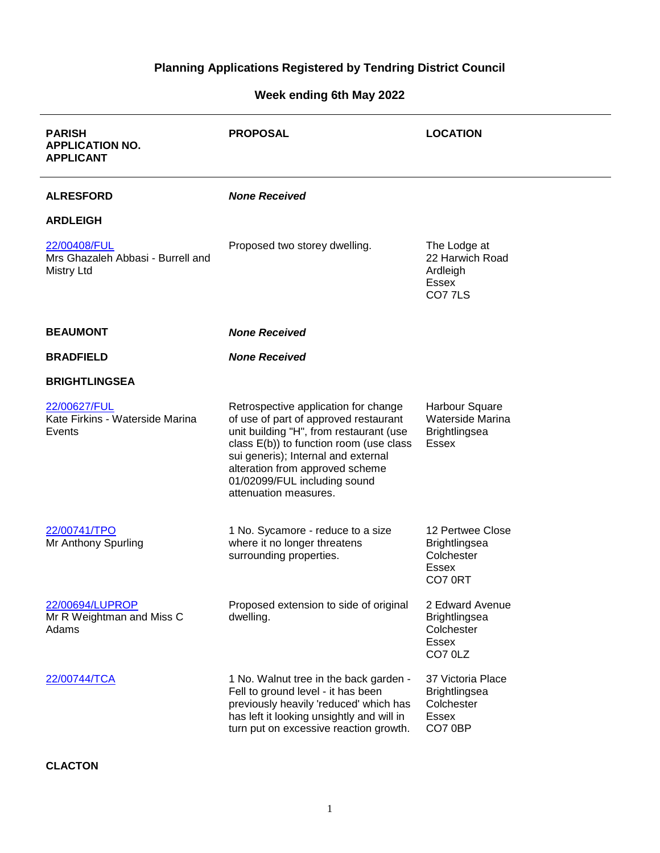# **Planning Applications Registered by Tendring District Council**

## **Week ending 6th May 2022**

| <b>PARISH</b><br><b>APPLICATION NO.</b><br><b>APPLICANT</b>            | <b>PROPOSAL</b>                                                                                                                                                                                                                                                                                        | <b>LOCATION</b>                                                             |
|------------------------------------------------------------------------|--------------------------------------------------------------------------------------------------------------------------------------------------------------------------------------------------------------------------------------------------------------------------------------------------------|-----------------------------------------------------------------------------|
| <b>ALRESFORD</b>                                                       | <b>None Received</b>                                                                                                                                                                                                                                                                                   |                                                                             |
| <b>ARDLEIGH</b>                                                        |                                                                                                                                                                                                                                                                                                        |                                                                             |
| 22/00408/FUL<br>Mrs Ghazaleh Abbasi - Burrell and<br><b>Mistry Ltd</b> | Proposed two storey dwelling.                                                                                                                                                                                                                                                                          | The Lodge at<br>22 Harwich Road<br>Ardleigh<br>Essex<br>CO77LS              |
| <b>BEAUMONT</b>                                                        | <b>None Received</b>                                                                                                                                                                                                                                                                                   |                                                                             |
| <b>BRADFIELD</b>                                                       | <b>None Received</b>                                                                                                                                                                                                                                                                                   |                                                                             |
| <b>BRIGHTLINGSEA</b>                                                   |                                                                                                                                                                                                                                                                                                        |                                                                             |
| 22/00627/FUL<br>Kate Firkins - Waterside Marina<br>Events              | Retrospective application for change<br>of use of part of approved restaurant<br>unit building "H", from restaurant (use<br>class E(b)) to function room (use class<br>sui generis); Internal and external<br>alteration from approved scheme<br>01/02099/FUL including sound<br>attenuation measures. | Harbour Square<br>Waterside Marina<br><b>Brightlingsea</b><br><b>Essex</b>  |
| 22/00741/TPO<br>Mr Anthony Spurling                                    | 1 No. Sycamore - reduce to a size<br>where it no longer threatens<br>surrounding properties.                                                                                                                                                                                                           | 12 Pertwee Close<br><b>Brightlingsea</b><br>Colchester<br>Essex<br>CO7 0RT  |
| 22/00694/LUPROP<br>Mr R Weightman and Miss C<br>Adams                  | Proposed extension to side of original<br>dwelling.                                                                                                                                                                                                                                                    | 2 Edward Avenue<br><b>Brightlingsea</b><br>Colchester<br>Essex<br>CO7 0LZ   |
| 22/00744/TCA                                                           | 1 No. Walnut tree in the back garden -<br>Fell to ground level - it has been<br>previously heavily 'reduced' which has<br>has left it looking unsightly and will in<br>turn put on excessive reaction growth.                                                                                          | 37 Victoria Place<br><b>Brightlingsea</b><br>Colchester<br>Essex<br>CO7 0BP |

### **CLACTON**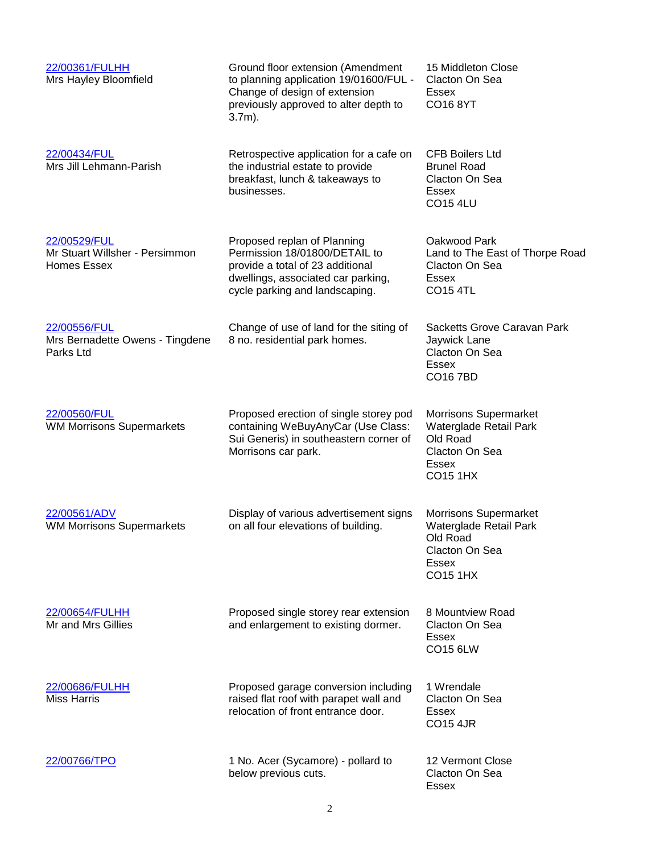| 22/00361/FULHH<br>Mrs Hayley Bloomfield                              | Ground floor extension (Amendment<br>to planning application 19/01600/FUL -<br>Change of design of extension<br>previously approved to alter depth to<br>$3.7m$ ).       | 15 Middleton Close<br>Clacton On Sea<br>Essex<br>CO168YT                                                         |
|----------------------------------------------------------------------|--------------------------------------------------------------------------------------------------------------------------------------------------------------------------|------------------------------------------------------------------------------------------------------------------|
| 22/00434/FUL<br>Mrs Jill Lehmann-Parish                              | Retrospective application for a cafe on<br>the industrial estate to provide<br>breakfast, lunch & takeaways to<br>businesses.                                            | <b>CFB Boilers Ltd</b><br><b>Brunel Road</b><br>Clacton On Sea<br>Essex<br><b>CO15 4LU</b>                       |
| 22/00529/FUL<br>Mr Stuart Willsher - Persimmon<br><b>Homes Essex</b> | Proposed replan of Planning<br>Permission 18/01800/DETAIL to<br>provide a total of 23 additional<br>dwellings, associated car parking,<br>cycle parking and landscaping. | Oakwood Park<br>Land to The East of Thorpe Road<br>Clacton On Sea<br>Essex<br><b>CO15 4TL</b>                    |
| 22/00556/FUL<br>Mrs Bernadette Owens - Tingdene<br>Parks Ltd         | Change of use of land for the siting of<br>8 no. residential park homes.                                                                                                 | Sacketts Grove Caravan Park<br>Jaywick Lane<br>Clacton On Sea<br><b>Essex</b><br><b>CO167BD</b>                  |
| 22/00560/FUL<br><b>WM Morrisons Supermarkets</b>                     | Proposed erection of single storey pod<br>containing WeBuyAnyCar (Use Class:<br>Sui Generis) in southeastern corner of<br>Morrisons car park.                            | Morrisons Supermarket<br>Waterglade Retail Park<br>Old Road<br>Clacton On Sea<br><b>Essex</b><br><b>CO15 1HX</b> |
| 22/00561/ADV<br><b>WM Morrisons Supermarkets</b>                     | Display of various advertisement signs<br>on all four elevations of building.                                                                                            | <b>Morrisons Supermarket</b><br>Waterglade Retail Park<br>Old Road<br>Clacton On Sea<br>Essex<br><b>CO15 1HX</b> |
| 22/00654/FULHH<br>Mr and Mrs Gillies                                 | Proposed single storey rear extension<br>and enlargement to existing dormer.                                                                                             | 8 Mountview Road<br>Clacton On Sea<br>Essex<br>CO15 6LW                                                          |
| 22/00686/FULHH<br><b>Miss Harris</b>                                 | Proposed garage conversion including<br>raised flat roof with parapet wall and<br>relocation of front entrance door.                                                     | 1 Wrendale<br>Clacton On Sea<br>Essex<br><b>CO15 4JR</b>                                                         |
| 22/00766/TPO                                                         | 1 No. Acer (Sycamore) - pollard to<br>below previous cuts.                                                                                                               | 12 Vermont Close<br>Clacton On Sea<br><b>Essex</b>                                                               |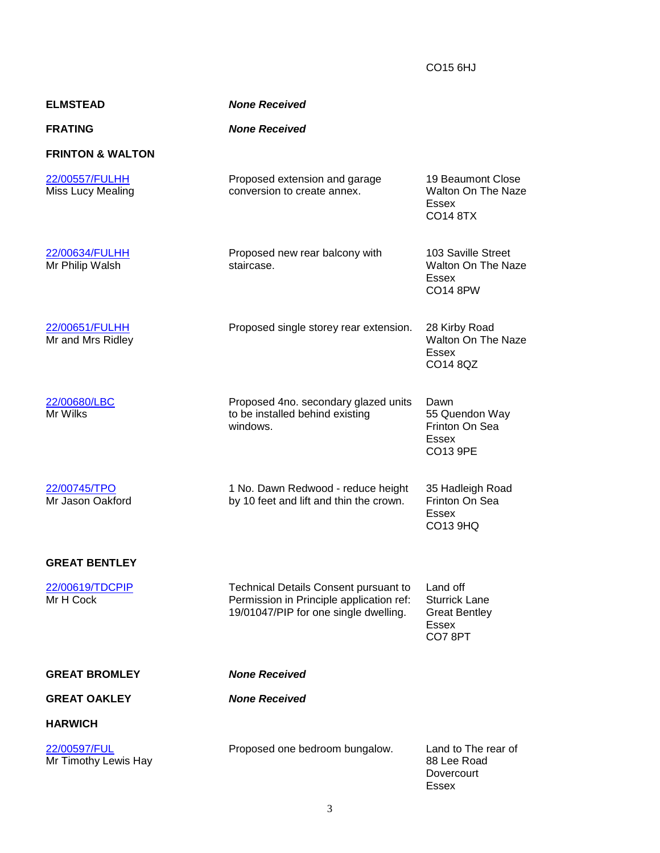CO15 6HJ

| <b>ELMSTEAD</b>                            | <b>None Received</b>                                                                                                              |                                                                                    |
|--------------------------------------------|-----------------------------------------------------------------------------------------------------------------------------------|------------------------------------------------------------------------------------|
| <b>FRATING</b>                             | <b>None Received</b>                                                                                                              |                                                                                    |
| <b>FRINTON &amp; WALTON</b>                |                                                                                                                                   |                                                                                    |
| 22/00557/FULHH<br><b>Miss Lucy Mealing</b> | Proposed extension and garage<br>conversion to create annex.                                                                      | 19 Beaumont Close<br><b>Walton On The Naze</b><br><b>Essex</b><br><b>CO14 8TX</b>  |
| 22/00634/FULHH<br>Mr Philip Walsh          | Proposed new rear balcony with<br>staircase.                                                                                      | 103 Saville Street<br><b>Walton On The Naze</b><br>Essex<br><b>CO14 8PW</b>        |
| 22/00651/FULHH<br>Mr and Mrs Ridley        | Proposed single storey rear extension.                                                                                            | 28 Kirby Road<br><b>Walton On The Naze</b><br>Essex<br>CO14 8QZ                    |
| 22/00680/LBC<br>Mr Wilks                   | Proposed 4no. secondary glazed units<br>to be installed behind existing<br>windows.                                               | Dawn<br>55 Quendon Way<br>Frinton On Sea<br>Essex<br>CO13 9PE                      |
| 22/00745/TPO<br>Mr Jason Oakford           | 1 No. Dawn Redwood - reduce height<br>by 10 feet and lift and thin the crown.                                                     | 35 Hadleigh Road<br>Frinton On Sea<br>Essex<br>CO13 9HQ                            |
| <b>GREAT BENTLEY</b>                       |                                                                                                                                   |                                                                                    |
| 22/00619/TDCPIP<br>Mr H Cock               | <b>Technical Details Consent pursuant to</b><br>Permission in Principle application ref:<br>19/01047/PIP for one single dwelling. | Land off<br><b>Sturrick Lane</b><br><b>Great Bentley</b><br><b>Essex</b><br>CO78PT |
| <b>GREAT BROMLEY</b>                       | <b>None Received</b>                                                                                                              |                                                                                    |
| <b>GREAT OAKLEY</b>                        | <b>None Received</b>                                                                                                              |                                                                                    |
| <b>HARWICH</b>                             |                                                                                                                                   |                                                                                    |
| 22/00597/FUL<br>Mr Timothy Lewis Hay       | Proposed one bedroom bungalow.                                                                                                    | Land to The rear of<br>88 Lee Road<br>Dovercourt<br><b>Essex</b>                   |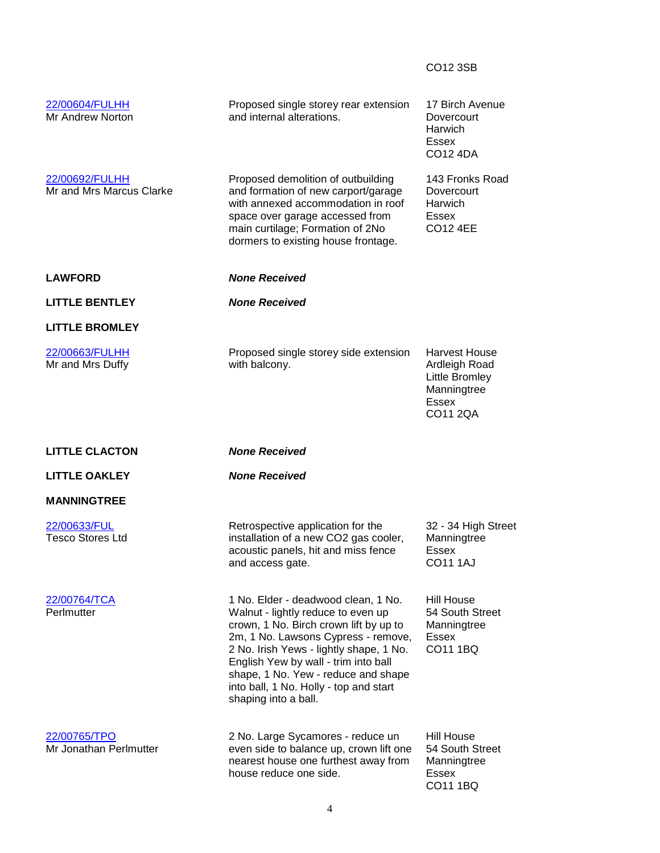|                                            |                                                                                                                                                                                                                               | CO12 3SB                                                                                           |
|--------------------------------------------|-------------------------------------------------------------------------------------------------------------------------------------------------------------------------------------------------------------------------------|----------------------------------------------------------------------------------------------------|
| 22/00604/FULHH<br>Mr Andrew Norton         | Proposed single storey rear extension<br>and internal alterations.                                                                                                                                                            | 17 Birch Avenue<br>Dovercourt<br>Harwich<br><b>Essex</b><br>CO12 4DA                               |
| 22/00692/FULHH<br>Mr and Mrs Marcus Clarke | Proposed demolition of outbuilding<br>and formation of new carport/garage<br>with annexed accommodation in roof<br>space over garage accessed from<br>main curtilage; Formation of 2No<br>dormers to existing house frontage. | 143 Fronks Road<br>Dovercourt<br>Harwich<br>Essex<br><b>CO12 4EE</b>                               |
| <b>LAWFORD</b>                             | <b>None Received</b>                                                                                                                                                                                                          |                                                                                                    |
| <b>LITTLE BENTLEY</b>                      | <b>None Received</b>                                                                                                                                                                                                          |                                                                                                    |
| <b>LITTLE BROMLEY</b>                      |                                                                                                                                                                                                                               |                                                                                                    |
| 22/00663/FULHH<br>Mr and Mrs Duffy         | Proposed single storey side extension<br>with balcony.                                                                                                                                                                        | <b>Harvest House</b><br>Ardleigh Road<br>Little Bromley<br>Manningtree<br><b>Essex</b><br>CO11 2QA |
| <b>LITTLE CLACTON</b>                      | <b>None Received</b>                                                                                                                                                                                                          |                                                                                                    |
| <b>LITTLE OAKLEY</b>                       | <b>None Received</b>                                                                                                                                                                                                          |                                                                                                    |
| <b>MANNINGTREE</b>                         |                                                                                                                                                                                                                               |                                                                                                    |
| 22/00633/FUL<br><b>Tesco Stores Ltd</b>    | Retrospective application for the<br>installation of a new CO2 gas cooler,<br>acoustic panels, hit and miss fence<br>and access gate.                                                                                         | 32 - 34 High Street<br>Manningtree<br>Essex<br><b>CO11 1AJ</b>                                     |
| 22/00764/TCA<br>Perlmutter                 | 1 No. Elder - deadwood clean, 1 No.<br>Walnut - lightly reduce to even up<br>crown, 1 No. Birch crown lift by up to<br>2m, 1 No. Lawsons Cypress - remove,<br>2 No. Irish Yews - lightly shape, 1 No.                         | <b>Hill House</b><br>54 South Street<br>Manningtree<br><b>Essex</b><br>CO11 1BQ                    |
|                                            | English Yew by wall - trim into ball<br>shape, 1 No. Yew - reduce and shape<br>into ball, 1 No. Holly - top and start<br>shaping into a ball.                                                                                 |                                                                                                    |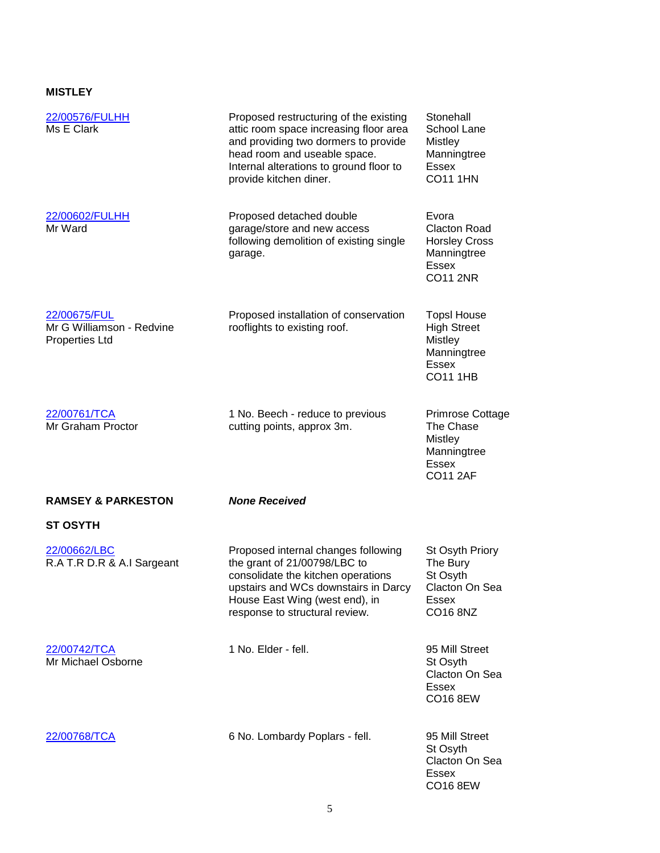### **MISTLEY**

| 22/00576/FULHH<br>Ms E Clark                                       | Proposed restructuring of the existing<br>attic room space increasing floor area<br>and providing two dormers to provide<br>head room and useable space.<br>Internal alterations to ground floor to<br>provide kitchen diner. | Stonehall<br>School Lane<br><b>Mistley</b><br>Manningtree<br>Essex<br><b>CO11 1HN</b>                        |
|--------------------------------------------------------------------|-------------------------------------------------------------------------------------------------------------------------------------------------------------------------------------------------------------------------------|--------------------------------------------------------------------------------------------------------------|
| 22/00602/FULHH<br>Mr Ward                                          | Proposed detached double<br>garage/store and new access<br>following demolition of existing single<br>garage.                                                                                                                 | Evora<br><b>Clacton Road</b><br><b>Horsley Cross</b><br>Manningtree<br><b>Essex</b><br><b>CO11 2NR</b>       |
| 22/00675/FUL<br>Mr G Williamson - Redvine<br><b>Properties Ltd</b> | Proposed installation of conservation<br>rooflights to existing roof.                                                                                                                                                         | <b>TopsI House</b><br><b>High Street</b><br><b>Mistley</b><br>Manningtree<br><b>Essex</b><br><b>CO11 1HB</b> |
| 22/00761/TCA<br>Mr Graham Proctor                                  | 1 No. Beech - reduce to previous<br>cutting points, approx 3m.                                                                                                                                                                | <b>Primrose Cottage</b><br>The Chase<br><b>Mistley</b><br>Manningtree<br><b>Essex</b><br><b>CO11 2AF</b>     |
| <b>RAMSEY &amp; PARKESTON</b>                                      | <b>None Received</b>                                                                                                                                                                                                          |                                                                                                              |
| <b>ST OSYTH</b>                                                    |                                                                                                                                                                                                                               |                                                                                                              |
| 22/00662/LBC<br>R.A T.R D.R & A.I Sargeant                         | Proposed internal changes following<br>the grant of 21/00798/LBC to<br>consolidate the kitchen operations<br>upstairs and WCs downstairs in Darcy<br>House East Wing (west end), in<br>response to structural review.         | St Osyth Priory<br>The Bury<br>St Osyth<br>Clacton On Sea<br>Essex<br>CO16 8NZ                               |
| 22/00742/TCA<br>Mr Michael Osborne                                 | 1 No. Elder - fell.                                                                                                                                                                                                           | 95 Mill Street<br>St Osyth<br>Clacton On Sea<br><b>Essex</b><br><b>CO16 8EW</b>                              |
| 22/00768/TCA                                                       | 6 No. Lombardy Poplars - fell.                                                                                                                                                                                                | 95 Mill Street<br>St Osyth<br>Clacton On Sea<br>Essex<br>CO16 8EW                                            |